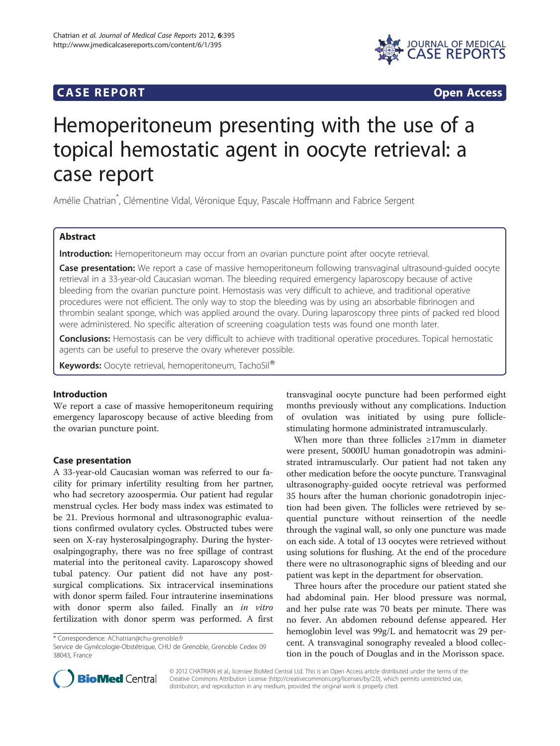# **CASE REPORT CASE REPORT**



# Hemoperitoneum presenting with the use of a topical hemostatic agent in oocyte retrieval: a case report

Amélie Chatrian\* , Clémentine Vidal, Véronique Equy, Pascale Hoffmann and Fabrice Sergent

# Abstract

Introduction: Hemoperitoneum may occur from an ovarian puncture point after oocyte retrieval.

Case presentation: We report a case of massive hemoperitoneum following transvaginal ultrasound-quided oocyte retrieval in a 33-year-old Caucasian woman. The bleeding required emergency laparoscopy because of active bleeding from the ovarian puncture point. Hemostasis was very difficult to achieve, and traditional operative procedures were not efficient. The only way to stop the bleeding was by using an absorbable fibrinogen and thrombin sealant sponge, which was applied around the ovary. During laparoscopy three pints of packed red blood were administered. No specific alteration of screening coagulation tests was found one month later.

Conclusions: Hemostasis can be very difficult to achieve with traditional operative procedures. Topical hemostatic agents can be useful to preserve the ovary wherever possible.

Keywords: Oocyte retrieval, hemoperitoneum, TachoSil®

# Introduction

We report a case of massive hemoperitoneum requiring emergency laparoscopy because of active bleeding from the ovarian puncture point.

# Case presentation

A 33-year-old Caucasian woman was referred to our facility for primary infertility resulting from her partner, who had secretory azoospermia. Our patient had regular menstrual cycles. Her body mass index was estimated to be 21. Previous hormonal and ultrasonographic evaluations confirmed ovulatory cycles. Obstructed tubes were seen on X-ray hysterosalpingography. During the hysterosalpingography, there was no free spillage of contrast material into the peritoneal cavity. Laparoscopy showed tubal patency. Our patient did not have any postsurgical complications. Six intracervical inseminations with donor sperm failed. Four intrauterine inseminations with donor sperm also failed. Finally an in vitro fertilization with donor sperm was performed. A first

\* Correspondence: [AChatrian@chu-grenoble.fr](mailto:AChatrian@chu-grenoble.fr)

Service de Gynécologie-Obstétrique, CHU de Grenoble, Grenoble Cedex 09 38043, France



When more than three follicles ≥17mm in diameter were present, 5000IU human gonadotropin was administrated intramuscularly. Our patient had not taken any other medication before the oocyte puncture. Transvaginal ultrasonography-guided oocyte retrieval was performed 35 hours after the human chorionic gonadotropin injection had been given. The follicles were retrieved by sequential puncture without reinsertion of the needle through the vaginal wall, so only one puncture was made on each side. A total of 13 oocytes were retrieved without using solutions for flushing. At the end of the procedure there were no ultrasonographic signs of bleeding and our patient was kept in the department for observation.

Three hours after the procedure our patient stated she had abdominal pain. Her blood pressure was normal, and her pulse rate was 70 beats per minute. There was no fever. An abdomen rebound defense appeared. Her hemoglobin level was 99g/L and hematocrit was 29 percent. A transvaginal sonography revealed a blood collection in the pouch of Douglas and in the Morisson space.



© 2012 CHATRIAN et al.; licensee BioMed Central Ltd. This is an Open Access article distributed under the terms of the Creative Commons Attribution License (<http://creativecommons.org/licenses/by/2.0>), which permits unrestricted use, distribution, and reproduction in any medium, provided the original work is properly cited.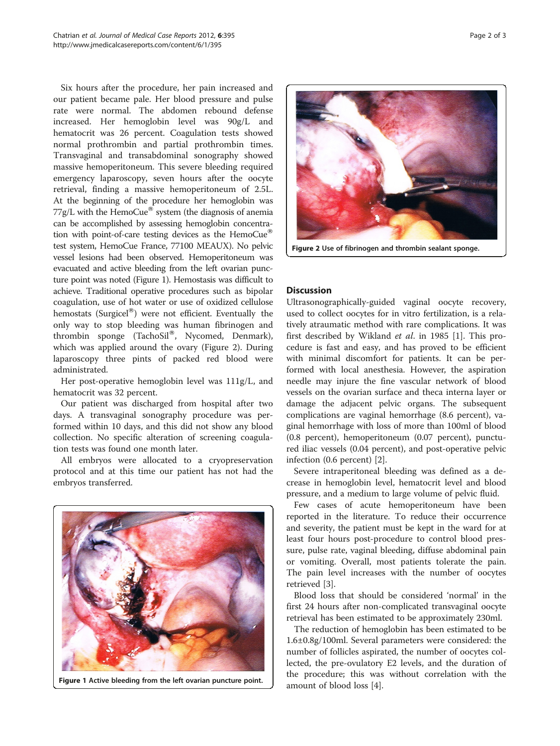Six hours after the procedure, her pain increased and our patient became pale. Her blood pressure and pulse rate were normal. The abdomen rebound defense increased. Her hemoglobin level was 90g/L and hematocrit was 26 percent. Coagulation tests showed normal prothrombin and partial prothrombin times. Transvaginal and transabdominal sonography showed massive hemoperitoneum. This severe bleeding required emergency laparoscopy, seven hours after the oocyte retrieval, finding a massive hemoperitoneum of 2.5L. At the beginning of the procedure her hemoglobin was  $77g/L$  with the HemoCue® system (the diagnosis of anemia can be accomplished by assessing hemoglobin concentration with point-of-care testing devices as the HemoCue<sup>®</sup> test system, HemoCue France, 77100 MEAUX). No pelvic vessel lesions had been observed. Hemoperitoneum was evacuated and active bleeding from the left ovarian puncture point was noted (Figure 1). Hemostasis was difficult to achieve. Traditional operative procedures such as bipolar coagulation, use of hot water or use of oxidized cellulose hemostats (Surgicel $^{\circledR}$ ) were not efficient. Eventually the only way to stop bleeding was human fibrinogen and thrombin sponge (TachoSil®, Nycomed, Denmark), which was applied around the ovary (Figure 2). During laparoscopy three pints of packed red blood were administrated.

Her post-operative hemoglobin level was 111g/L, and hematocrit was 32 percent.

Our patient was discharged from hospital after two days. A transvaginal sonography procedure was performed within 10 days, and this did not show any blood collection. No specific alteration of screening coagulation tests was found one month later.

All embryos were allocated to a cryopreservation protocol and at this time our patient has not had the embryos transferred.



Figure 1 Active bleeding from the left ovarian puncture point.  $\Box$  amount of blood loss [[4\]](#page-2-0).



Figure 2 Use of fibrinogen and thrombin sealant sponge.

# **Discussion**

Ultrasonographically-guided vaginal oocyte recovery, used to collect oocytes for in vitro fertilization, is a relatively atraumatic method with rare complications. It was first described by Wikland et al. in 1985 [[1](#page-2-0)]. This procedure is fast and easy, and has proved to be efficient with minimal discomfort for patients. It can be performed with local anesthesia. However, the aspiration needle may injure the fine vascular network of blood vessels on the ovarian surface and theca interna layer or damage the adjacent pelvic organs. The subsequent complications are vaginal hemorrhage (8.6 percent), vaginal hemorrhage with loss of more than 100ml of blood (0.8 percent), hemoperitoneum (0.07 percent), punctured iliac vessels (0.04 percent), and post-operative pelvic infection (0.6 percent) [[2\]](#page-2-0).

Severe intraperitoneal bleeding was defined as a decrease in hemoglobin level, hematocrit level and blood pressure, and a medium to large volume of pelvic fluid.

Few cases of acute hemoperitoneum have been reported in the literature. To reduce their occurrence and severity, the patient must be kept in the ward for at least four hours post-procedure to control blood pressure, pulse rate, vaginal bleeding, diffuse abdominal pain or vomiting. Overall, most patients tolerate the pain. The pain level increases with the number of oocytes retrieved [[3\]](#page-2-0).

Blood loss that should be considered 'normal' in the first 24 hours after non-complicated transvaginal oocyte retrieval has been estimated to be approximately 230ml.

The reduction of hemoglobin has been estimated to be 1.6±0.8g/100ml. Several parameters were considered: the number of follicles aspirated, the number of oocytes collected, the pre-ovulatory E2 levels, and the duration of the procedure; this was without correlation with the